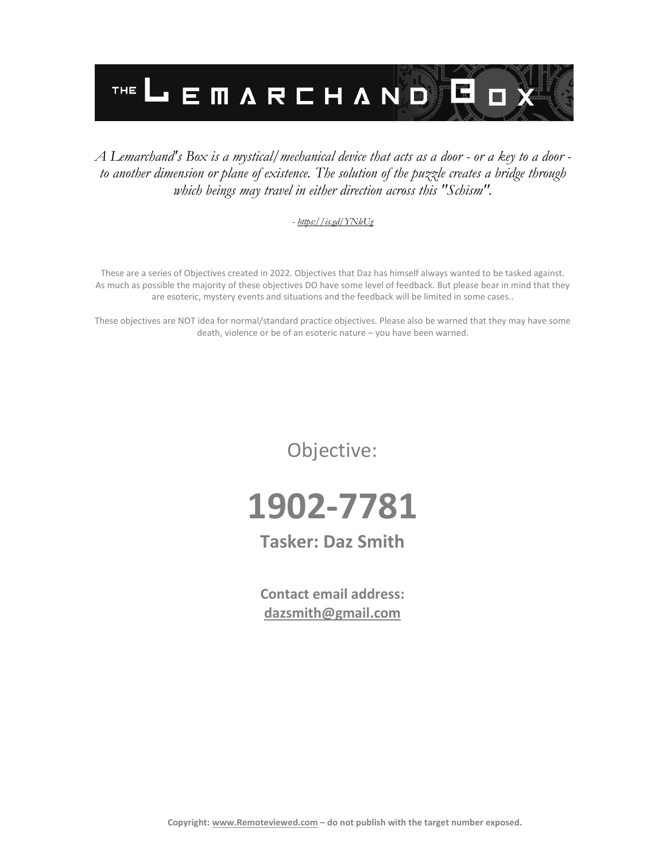

### *A Lemarchand's Box is a mystical/mechanical device that acts as a door - or a key to a door to another dimension or plane of existence. The solution of the puzzle creates a bridge through which beings may travel in either direction across this "Schism".*

#### *- <https://is.gd/YNleUg>*

These are a series of Objectives created in 2022. Objectives that Daz has himself always wanted to be tasked against. As much as possible the majority of these objectives DO have some level of feedback. But please bear in mind that they are esoteric, mystery events and situations and the feedback will be limited in some cases..

These objectives are NOT idea for normal/standard practice objectives. Please also be warned that they may have some death, violence or be of an esoteric nature – you have been warned.

Objective:



### **Tasker: Daz Smith**

**Contact email address: [dazsmith@gmail.com](mailto:dazsmith@gmail.com)**